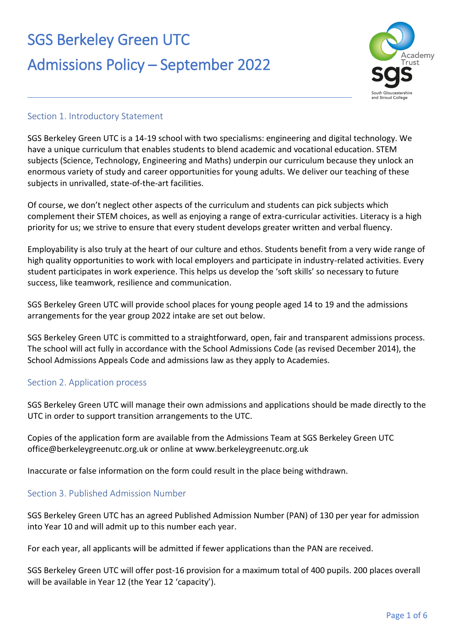# SGS Berkeley Green UTC Admissions Policy – September 2022



#### Section 1. Introductory Statement

SGS Berkeley Green UTC is a 14-19 school with two specialisms: engineering and digital technology. We have a unique curriculum that enables students to blend academic and vocational education. STEM subjects (Science, Technology, Engineering and Maths) underpin our curriculum because they unlock an enormous variety of study and career opportunities for young adults. We deliver our teaching of these subjects in unrivalled, state-of-the-art facilities.

Of course, we don't neglect other aspects of the curriculum and students can pick subjects which complement their STEM choices, as well as enjoying a range of extra-curricular activities. Literacy is a high priority for us; we strive to ensure that every student develops greater written and verbal fluency.

Employability is also truly at the heart of our culture and ethos. Students benefit from a very wide range of high quality opportunities to work with local employers and participate in industry-related activities. Every student participates in work experience. This helps us develop the 'soft skills' so necessary to future success, like teamwork, resilience and communication.

SGS Berkeley Green UTC will provide school places for young people aged 14 to 19 and the admissions arrangements for the year group 2022 intake are set out below.

SGS Berkeley Green UTC is committed to a straightforward, open, fair and transparent admissions process. The school will act fully in accordance with the School Admissions Code (as revised December 2014), the School Admissions Appeals Code and admissions law as they apply to Academies.

### Section 2. Application process

SGS Berkeley Green UTC will manage their own admissions and applications should be made directly to the UTC in order to support transition arrangements to the UTC.

Copies of the application form are available from the Admissions Team at SGS Berkeley Green UTC office@berkeleygreenutc.org.uk or online at www.berkeleygreenutc.org.uk

Inaccurate or false information on the form could result in the place being withdrawn.

### Section 3. Published Admission Number

SGS Berkeley Green UTC has an agreed Published Admission Number (PAN) of 130 per year for admission into Year 10 and will admit up to this number each year.

For each year, all applicants will be admitted if fewer applications than the PAN are received.

SGS Berkeley Green UTC will offer post-16 provision for a maximum total of 400 pupils. 200 places overall will be available in Year 12 (the Year 12 'capacity').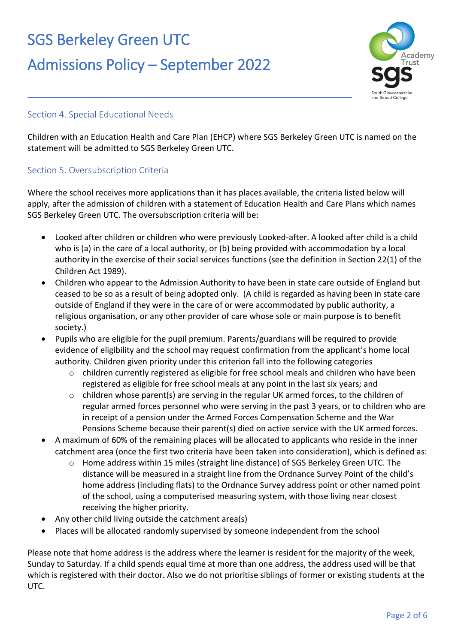### SGS Berkeley Green UTC

### Admissions Policy – September 2022



### Section 4. Special Educational Needs

Children with an Education Health and Care Plan (EHCP) where SGS Berkeley Green UTC is named on the statement will be admitted to SGS Berkeley Green UTC.

#### Section 5. Oversubscription Criteria

Where the school receives more applications than it has places available, the criteria listed below will apply, after the admission of children with a statement of Education Health and Care Plans which names SGS Berkeley Green UTC. The oversubscription criteria will be:

- Looked after children or children who were previously Looked-after. A looked after child is a child who is (a) in the care of a local authority, or (b) being provided with accommodation by a local authority in the exercise of their social services functions (see the definition in Section 22(1) of the Children Act 1989).
- Children who appear to the Admission Authority to have been in state care outside of England but ceased to be so as a result of being adopted only. (A child is regarded as having been in state care outside of England if they were in the care of or were accommodated by public authority, a religious organisation, or any other provider of care whose sole or main purpose is to benefit society.)
- Pupils who are eligible for the pupil premium. Parents/guardians will be required to provide evidence of eligibility and the school may request confirmation from the applicant's home local authority. Children given priority under this criterion fall into the following categories
	- $\circ$  children currently registered as eligible for free school meals and children who have been registered as eligible for free school meals at any point in the last six years; and
	- $\circ$  children whose parent(s) are serving in the regular UK armed forces, to the children of regular armed forces personnel who were serving in the past 3 years, or to children who are in receipt of a pension under the Armed Forces Compensation Scheme and the War Pensions Scheme because their parent(s) died on active service with the UK armed forces.
- A maximum of 60% of the remaining places will be allocated to applicants who reside in the inner catchment area (once the first two criteria have been taken into consideration), which is defined as:
	- o Home address within 15 miles (straight line distance) of SGS Berkeley Green UTC. The distance will be measured in a straight line from the Ordnance Survey Point of the child's home address (including flats) to the Ordnance Survey address point or other named point of the school, using a computerised measuring system, with those living near closest receiving the higher priority.
- Any other child living outside the catchment area(s)
- Places will be allocated randomly supervised by someone independent from the school

Please note that home address is the address where the learner is resident for the majority of the week, Sunday to Saturday. If a child spends equal time at more than one address, the address used will be that which is registered with their doctor. Also we do not prioritise siblings of former or existing students at the UTC.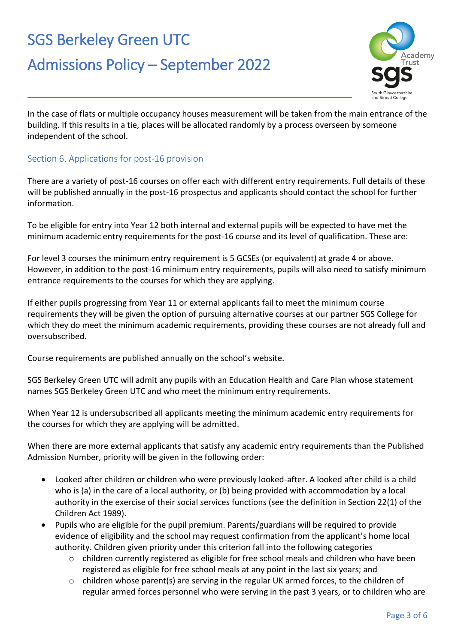# SGS Berkeley Green UTC



### Admissions Policy – September 2022

In the case of flats or multiple occupancy houses measurement will be taken from the main entrance of the building. If this results in a tie, places will be allocated randomly by a process overseen by someone independent of the school.

### Section 6. Applications for post-16 provision

There are a variety of post-16 courses on offer each with different entry requirements. Full details of these will be published annually in the post-16 prospectus and applicants should contact the school for further information.

To be eligible for entry into Year 12 both internal and external pupils will be expected to have met the minimum academic entry requirements for the post-16 course and its level of qualification. These are:

For level 3 courses the minimum entry requirement is 5 GCSEs (or equivalent) at grade 4 or above. However, in addition to the post-16 minimum entry requirements, pupils will also need to satisfy minimum entrance requirements to the courses for which they are applying.

If either pupils progressing from Year 11 or external applicants fail to meet the minimum course requirements they will be given the option of pursuing alternative courses at our partner SGS College for which they do meet the minimum academic requirements, providing these courses are not already full and oversubscribed.

Course requirements are published annually on the school's website.

SGS Berkeley Green UTC will admit any pupils with an Education Health and Care Plan whose statement names SGS Berkeley Green UTC and who meet the minimum entry requirements.

When Year 12 is undersubscribed all applicants meeting the minimum academic entry requirements for the courses for which they are applying will be admitted.

When there are more external applicants that satisfy any academic entry requirements than the Published Admission Number, priority will be given in the following order:

- Looked after children or children who were previously looked-after. A looked after child is a child who is (a) in the care of a local authority, or (b) being provided with accommodation by a local authority in the exercise of their social services functions (see the definition in Section 22(1) of the Children Act 1989).
- Pupils who are eligible for the pupil premium. Parents/guardians will be required to provide evidence of eligibility and the school may request confirmation from the applicant's home local authority. Children given priority under this criterion fall into the following categories
	- $\circ$  children currently registered as eligible for free school meals and children who have been registered as eligible for free school meals at any point in the last six years; and
	- $\circ$  children whose parent(s) are serving in the regular UK armed forces, to the children of regular armed forces personnel who were serving in the past 3 years, or to children who are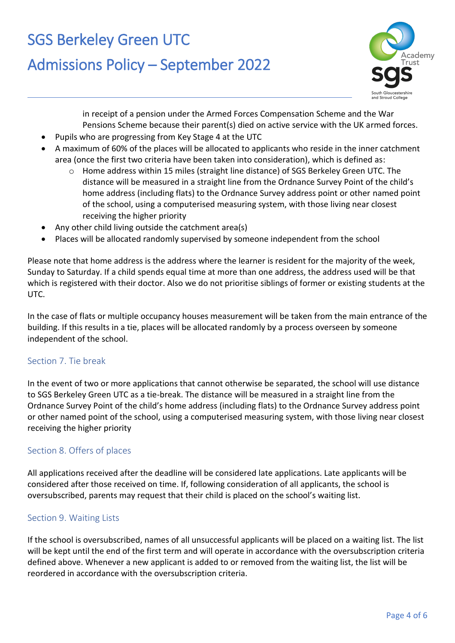### SGS Berkeley Green UTC

### Admissions Policy – September 2022



in receipt of a pension under the Armed Forces Compensation Scheme and the War Pensions Scheme because their parent(s) died on active service with the UK armed forces.

- Pupils who are progressing from Key Stage 4 at the UTC
- A maximum of 60% of the places will be allocated to applicants who reside in the inner catchment area (once the first two criteria have been taken into consideration), which is defined as:
	- o Home address within 15 miles (straight line distance) of SGS Berkeley Green UTC. The distance will be measured in a straight line from the Ordnance Survey Point of the child's home address (including flats) to the Ordnance Survey address point or other named point of the school, using a computerised measuring system, with those living near closest receiving the higher priority
- Any other child living outside the catchment area(s)
- Places will be allocated randomly supervised by someone independent from the school

Please note that home address is the address where the learner is resident for the majority of the week, Sunday to Saturday. If a child spends equal time at more than one address, the address used will be that which is registered with their doctor. Also we do not prioritise siblings of former or existing students at the UTC.

In the case of flats or multiple occupancy houses measurement will be taken from the main entrance of the building. If this results in a tie, places will be allocated randomly by a process overseen by someone independent of the school.

### Section 7. Tie break

In the event of two or more applications that cannot otherwise be separated, the school will use distance to SGS Berkeley Green UTC as a tie-break. The distance will be measured in a straight line from the Ordnance Survey Point of the child's home address (including flats) to the Ordnance Survey address point or other named point of the school, using a computerised measuring system, with those living near closest receiving the higher priority

### Section 8. Offers of places

All applications received after the deadline will be considered late applications. Late applicants will be considered after those received on time. If, following consideration of all applicants, the school is oversubscribed, parents may request that their child is placed on the school's waiting list.

#### Section 9. Waiting Lists

If the school is oversubscribed, names of all unsuccessful applicants will be placed on a waiting list. The list will be kept until the end of the first term and will operate in accordance with the oversubscription criteria defined above. Whenever a new applicant is added to or removed from the waiting list, the list will be reordered in accordance with the oversubscription criteria.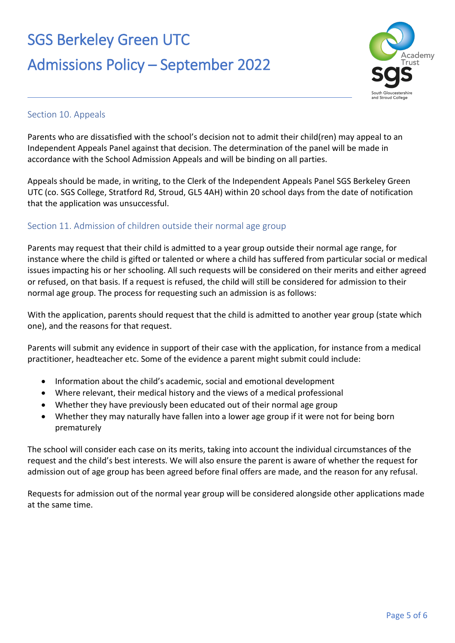# SGS Berkeley Green UTC Admissions Policy – September 2022



### Section 10. Appeals

Parents who are dissatisfied with the school's decision not to admit their child(ren) may appeal to an Independent Appeals Panel against that decision. The determination of the panel will be made in accordance with the School Admission Appeals and will be binding on all parties.

Appeals should be made, in writing, to the Clerk of the Independent Appeals Panel SGS Berkeley Green UTC (co. SGS College, Stratford Rd, Stroud, GL5 4AH) within 20 school days from the date of notification that the application was unsuccessful.

### Section 11. Admission of children outside their normal age group

Parents may request that their child is admitted to a year group outside their normal age range, for instance where the child is gifted or talented or where a child has suffered from particular social or medical issues impacting his or her schooling. All such requests will be considered on their merits and either agreed or refused, on that basis. If a request is refused, the child will still be considered for admission to their normal age group. The process for requesting such an admission is as follows:

With the application, parents should request that the child is admitted to another year group (state which one), and the reasons for that request.

Parents will submit any evidence in support of their case with the application, for instance from a medical practitioner, headteacher etc. Some of the evidence a parent might submit could include:

- Information about the child's academic, social and emotional development
- Where relevant, their medical history and the views of a medical professional
- Whether they have previously been educated out of their normal age group
- Whether they may naturally have fallen into a lower age group if it were not for being born prematurely

The school will consider each case on its merits, taking into account the individual circumstances of the request and the child's best interests. We will also ensure the parent is aware of whether the request for admission out of age group has been agreed before final offers are made, and the reason for any refusal.

Requests for admission out of the normal year group will be considered alongside other applications made at the same time.